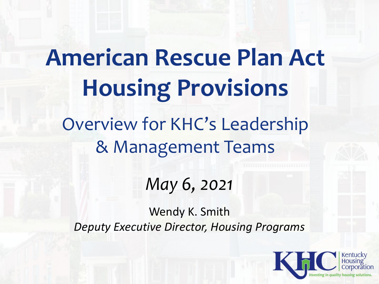# **American Rescue Plan Act Housing Provisions** Overview for KHC's Leadership & Management Teams

*May 6, 2021*

Wendy K. Smith *Deputy Executive Director, Housing Programs*

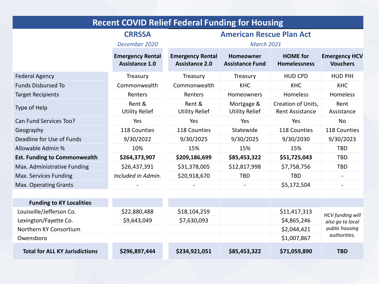| <b>Recent COVID Relief Federal Funding for Housing</b> |                                                  |                                                  |                                            |                                              |                                         |  |  |  |  |
|--------------------------------------------------------|--------------------------------------------------|--------------------------------------------------|--------------------------------------------|----------------------------------------------|-----------------------------------------|--|--|--|--|
|                                                        | <b>CRRSSA</b>                                    |                                                  | <b>American Rescue Plan Act</b>            |                                              |                                         |  |  |  |  |
|                                                        | December 2020                                    | <b>March 2021</b>                                |                                            |                                              |                                         |  |  |  |  |
|                                                        | <b>Emergency Rental</b><br><b>Assistance 1.0</b> | <b>Emergency Rental</b><br><b>Assistance 2.0</b> | <b>Homeowner</b><br><b>Assistance Fund</b> | <b>HOME</b> for<br><b>Homelessness</b>       | <b>Emergency HCV</b><br><b>Vouchers</b> |  |  |  |  |
| <b>Federal Agency</b>                                  | Treasury                                         | Treasury                                         | Treasury                                   | <b>HUD CPD</b>                               | <b>HUD PIH</b>                          |  |  |  |  |
| <b>Funds Disbursed To</b>                              | Commonwealth                                     | Commonwealth                                     | <b>KHC</b>                                 | <b>KHC</b>                                   | <b>KHC</b>                              |  |  |  |  |
| <b>Target Recipients</b>                               | Renters                                          | Renters                                          | Homeowners                                 | Homeless                                     | Homeless                                |  |  |  |  |
| Type of Help                                           | Rent &<br><b>Utility Relief</b>                  | Rent &<br><b>Utility Relief</b>                  | Mortgage &<br><b>Utility Relief</b>        | Creation of Units,<br><b>Rent Assistance</b> | Rent<br>Assistance                      |  |  |  |  |
| Can Fund Services Too?                                 | Yes                                              | Yes                                              | Yes                                        | Yes                                          | <b>No</b>                               |  |  |  |  |
| Geography                                              | 118 Counties                                     | 118 Counties                                     | Statewide                                  | 118 Counties                                 | 118 Counties                            |  |  |  |  |
| Deadline for Use of Funds                              | 9/30/2022                                        | 9/30/2025                                        | 9/30/2025                                  | 9/30/2030                                    | 9/30/2023                               |  |  |  |  |
| Allowable Admin %                                      | 10%                                              | 15%                                              | 15%                                        | 15%                                          | <b>TBD</b>                              |  |  |  |  |
| <b>Est. Funding to Commonwealth</b>                    | \$264,373,907                                    | \$209,186,699                                    | \$85,453,322                               | \$51,725,043                                 | <b>TBD</b>                              |  |  |  |  |
| Max. Administrative Funding                            | \$26,437,391                                     | \$31,378,005                                     | \$12,817,998                               | \$7,758,756                                  | <b>TBD</b>                              |  |  |  |  |
| Max. Services Funding                                  | Included in Admin.                               | \$20,918,670                                     | <b>TBD</b>                                 | <b>TBD</b>                                   |                                         |  |  |  |  |
| Max. Operating Grants                                  |                                                  |                                                  |                                            | \$5,172,504                                  |                                         |  |  |  |  |
|                                                        |                                                  |                                                  |                                            |                                              |                                         |  |  |  |  |
| <b>Funding to KY Localities</b>                        |                                                  |                                                  |                                            |                                              |                                         |  |  |  |  |
| Louisville/Iefferson Co.                               | \$22,880,488                                     | \$18.104.259                                     |                                            | \$11,417,313                                 |                                         |  |  |  |  |

| <b>Total for ALL KY Jurisdictions</b> | \$296,897,444 | \$234,921,051 | \$85,453,322 | \$71,059,890 | <b>TBD</b>                           |
|---------------------------------------|---------------|---------------|--------------|--------------|--------------------------------------|
| Owensboro                             |               |               |              | \$1,007,867  | authorities.                         |
| Northern KY Consortium                |               |               |              | \$2,044,421  | public housing                       |
| Lexington/Fayette Co.                 | \$9,643,049   | \$7,630,093   |              | \$4,865,246  | HCV funding will<br>also go to local |
| Louisville/Jefferson Co.              | \$22,880,488  | \$18,104,259  |              | \$11,417,313 |                                      |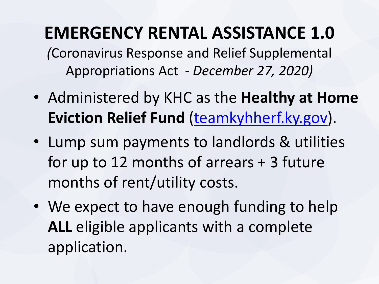### **EMERGENCY RENTAL ASSISTANCE 1.0**

*(*Coronavirus Response and Relief Supplemental Appropriations Act *- December 27, 2020)*

- Administered by KHC as the **Healthy at Home Eviction Relief Fund** [\(teamkyhherf.ky.gov](https://teamkyhherf.ky.gov/)).
- Lump sum payments to landlords & utilities for up to 12 months of arrears + 3 future months of rent/utility costs.
- We expect to have enough funding to help **ALL** eligible applicants with a complete application.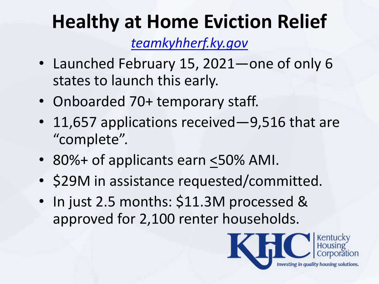### **Healthy at Home Eviction Relief**

*[teamkyhherf.ky.gov](https://teamkyhherf.ky.gov/)*

- Launched February 15, 2021—one of only 6 states to launch this early.
- Onboarded 70+ temporary staff.
- 11,657 applications received—9,516 that are "complete".
- 80%+ of applicants earn <50% AMI.
- \$29M in assistance requested/committed.
- In just 2.5 months: \$11.3M processed & approved for 2,100 renter households.

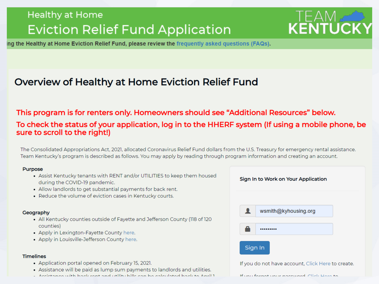### **Healthy at Home Eviction Relief Fund Application**

# **TEAM**<br>KENTUCK

ing the Healthy at Home Eviction Relief Fund, please review the frequently asked questions (FAQs).

### Overview of Healthy at Home Eviction Relief Fund

#### This program is for renters only. Homeowners should see "Additional Resources" below. To check the status of your application, log in to the HHERF system (If using a mobile phone, be sure to scroll to the right!)

The Consolidated Appropriations Act, 2021, allocated Coronavirus Relief Fund dollars from the U.S. Treasury for emergency rental assistance. Team Kentucky's program is described as follows. You may apply by reading through program information and creating an account.

#### **Purpose**

- . Assist Kentucky tenants with RENT and/or UTILITIES to keep them housed during the COVID-19 pandemic.
- Allow landlords to get substantial payments for back rent.
- Reduce the volume of eviction cases in Kentucky courts.

#### Geography

- All Kentucky counties outside of Fayette and Jefferson County (118 of 120 counties)
- Apply in Lexington-Fayette County here.
- Apply in Louisville-Jefferson County here.

#### **Timelines**

- Application portal opened on February 15, 2021.
- Assistance will be paid as lump sum payments to landlords and utilities.
- Accidence with book ront and utility bills can be ealerslated book to April 1

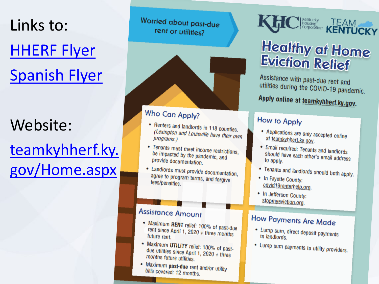# Links to: [HHERF Flyer](https://gcc02.safelinks.protection.outlook.com/?url=https%3A%2F%2Fwww.kyhousing.org%2FNews-Events%2FEviction-Relief%2FDocuments%2FHHERF%2520Flier.pdf&data=04%7C01%7Cwsmith%40kyhousing.org%7C6618ea36cd52497e4b5d08d8d40e175c%7Caea041267f1a46ed81fd06f9287a4399%7C0%7C0%7C637492504411877384%7CUnknown%7CTWFpbGZsb3d8eyJWIjoiMC4wLjAwMDAiLCJQIjoiV2luMzIiLCJBTiI6Ik1haWwiLCJXVCI6Mn0%3D%7C1000&sdata=qZALQKg8BUj3tcqUFuslDHlOhphIeeKMOPzGRbY8%2FTc%3D&reserved=0) [Spanish Flyer](https://gcc02.safelinks.protection.outlook.com/?url=https%3A%2F%2Fwww.kyhousing.org%2FNews-Events%2FEviction-Relief%2FDocuments%2FHHERF%2520Flier%2520-%2520SP.pdf&data=04%7C01%7Cwsmith%40kyhousing.org%7C6618ea36cd52497e4b5d08d8d40e175c%7Caea041267f1a46ed81fd06f9287a4399%7C0%7C0%7C637492504411877384%7CUnknown%7CTWFpbGZsb3d8eyJWIjoiMC4wLjAwMDAiLCJQIjoiV2luMzIiLCJBTiI6Ik1haWwiLCJXVCI6Mn0%3D%7C1000&sdata=tyA%2FL7f7lHKP23IR0E8%2FIXS769KLI2TxSVfMYLChnPQ%3D&reserved=0)

### Website: teamkyhherf.ky.

[gov/Home.aspx](https://teamkyhherf.ky.gov/Home.aspx)

Worried about past-due rent or utilities?



#### Who Can Apply?

- Renters and landlords in 118 counties. (Lexington and Louisville have their own<br>programs) programs.)
- Tenants must meet income restrictions, be impacted by the pandemic, and provide documentation.
- Landlords must provide documentation, agree to program terms, and forgive fees/penalties.

#### **Assistance Amount**

- Maximum RENT relief: 100% of past-due<br>rent since April 1, 2000 rent since April 1, 2020 + three months future rent.
- Maximum UTILITY relief: 100% of pastdue utilities since April 1, 2020 + three<br>months future utilities months future utilities.
- Maximum past-due rent and/or utility<br>bills covered: 19 ment and/or utility bills covered: 12 months.

# **C** *Housing* TEAM

### **Healthy at Home Eviction Relief**

Assistance with past-due rent and utilities during the COVID-19 pandemic.

### Apply online at teamkyhherf.ky.gov.

#### How to Apply

- Applications are only accepted online<br>at teambubberf location at teamkyhherf.ky.gov.
- Email required: Tenants and landlords should have each other's email address<br>to apply to apply.
- Tenants and landlords should both apply.
- In Fayette County: covid19renterhelp.org.
- In Jefferson County: stopmyeviction.org.

### How Payments Are Made

- Lump sum, direct deposit payments to landlords.
- Lump sum payments to utility providers.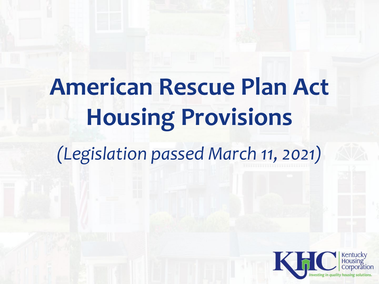# **American Rescue Plan Act Housing Provisions**

*(Legislation passed March 11, 2021)*

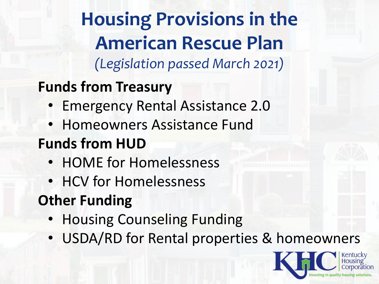### **Housing Provisions in the American Rescue Plan** *(Legislation passed March 2021)*

### **Funds from Treasury**

- Emergency Rental Assistance 2.0
- Homeowners Assistance Fund

### **Funds from HUD**

- HOME for Homelessness
- HCV for Homelessness

### **Other Funding**

- Housing Counseling Funding
- USDA/RD for Rental properties & homeowners

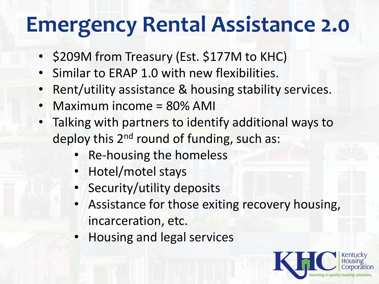# **Emergency Rental Assistance 2.0**

- \$209M from Treasury (Est. \$177M to KHC)
- Similar to ERAP 1.0 with new flexibilities.
- Rent/utility assistance & housing stability services.
- Maximum income = 80% AMI
- Talking with partners to identify additional ways to deploy this 2<sup>nd</sup> round of funding, such as:
	- Re-housing the homeless
	- Hotel/motel stays
	- Security/utility deposits
	- Assistance for those exiting recovery housing, incarceration, etc.
	- Housing and legal services

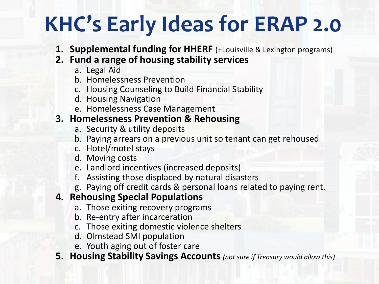# **KHC's Early Ideas for ERAP 2.0**

- **1. Supplemental funding for HHERF** (+Louisville & Lexington programs)
- **2. Fund a range of housing stability services**
	- a. Legal Aid
	- b. Homelessness Prevention
	- c. Housing Counseling to Build Financial Stability
	- d. Housing Navigation
	- e. Homelessness Case Management

#### **3. Homelessness Prevention & Rehousing**

- a. Security & utility deposits
- b. Paying arrears on a previous unit so tenant can get rehoused
- c. Hotel/motel stays
- d. Moving costs
- e. Landlord incentives (increased deposits)
- f. Assisting those displaced by natural disasters
- g. Paying off credit cards & personal loans related to paying rent.

#### **4. Rehousing Special Populations**

- a. Those exiting recovery programs
- b. Re-entry after incarceration
- c. Those exiting domestic violence shelters
- d. Olmstead SMI population
- e. Youth aging out of foster care
- **5. Housing Stability Savings Accounts** *(not sure if Treasury would allow this)*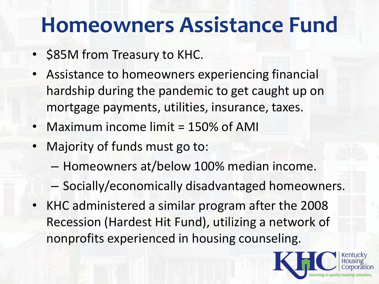# **Homeowners Assistance Fund**

- \$85M from Treasury to KHC.
- Assistance to homeowners experiencing financial hardship during the pandemic to get caught up on mortgage payments, utilities, insurance, taxes.
- Maximum income limit = 150% of AMI
- Majority of funds must go to:
	- Homeowners at/below 100% median income.
	- Socially/economically disadvantaged homeowners.
- KHC administered a similar program after the 2008 Recession (Hardest Hit Fund), utilizing a network of nonprofits experienced in housing counseling.

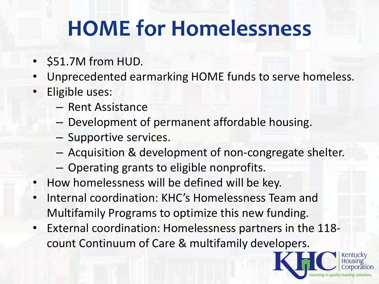# **HOME for Homelessness**

- \$51.7M from HUD.
- Unprecedented earmarking HOME funds to serve homeless.
- Eligible uses:
	- Rent Assistance
	- Development of permanent affordable housing.
	- Supportive services.
	- Acquisition & development of non-congregate shelter.
	- Operating grants to eligible nonprofits.
- How homelessness will be defined will be key.
- Internal coordination: KHC's Homelessness Team and Multifamily Programs to optimize this new funding.
- External coordination: Homelessness partners in the 118 count Continuum of Care & multifamily developers.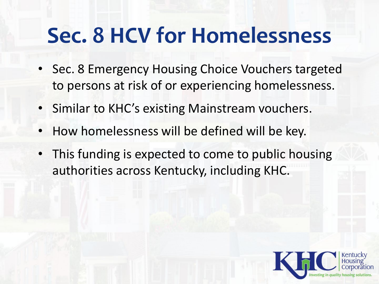# **Sec. 8 HCV for Homelessness**

- Sec. 8 Emergency Housing Choice Vouchers targeted to persons at risk of or experiencing homelessness.
- Similar to KHC's existing Mainstream vouchers.
- How homelessness will be defined will be key.
- This funding is expected to come to public housing authorities across Kentucky, including KHC.

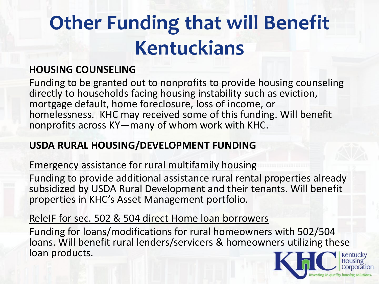# **Other Funding that will Benefit Kentuckians**

### **HOUSING COUNSELING**

Funding to be granted out to nonprofits to provide housing counseling directly to households facing housing instability such as eviction, mortgage default, home foreclosure, loss of income, or homelessness. KHC may received some of this funding. Will benefit nonprofits across KY—many of whom work with KHC.

### **USDA RURAL HOUSING/DEVELOPMENT FUNDING**

### Emergency assistance for rural multifamily housing

Funding to provide additional assistance rural rental properties already subsidized by USDA Rural Development and their tenants. Will benefit properties in KHC's Asset Management portfolio.

### ReleIF for sec. 502 & 504 direct Home loan borrowers

Funding for loans/modifications for rural homeowners with 502/504 loans. Will benefit rural lenders/servicers & homeowners utilizing these loan products.

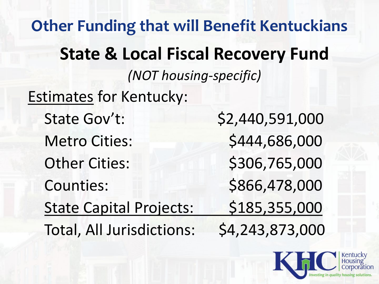**Other Funding that will Benefit Kentuckians State & Local Fiscal Recovery Fund** *(NOT housing-specific)* Estimates for Kentucky: State Gov't: \$2,440,591,000 Metro Cities:  $$444,686,000$ Other Cities: \$306,765,000 Counties: \$866,478,000 State Capital Projects: \$185,355,000 Total, All Jurisdictions: \$4,243,873,000